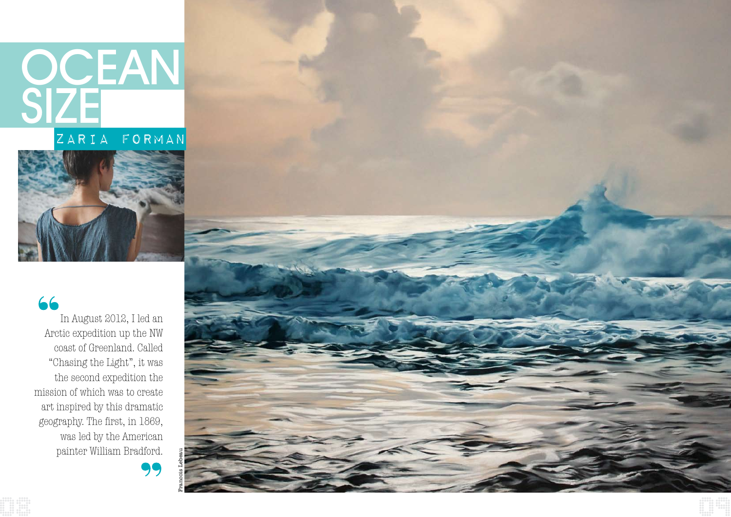# OCEAN SIZE

### ZARIA FORMAN



#### 66

In August 2012, I led an Arctic expedition up the NW coast of Greenland. Called "Chasing the Light", it was the second expedition the mission of which was to create art inspired by this dramatic geography. The first, in 1869, was led by the American painter William Bradford.

99

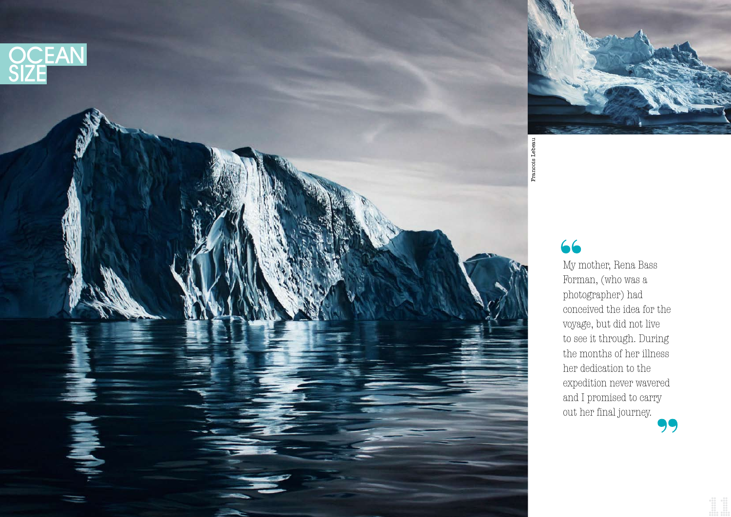



### 66

My mother, Rena Bass Forman, (who was a photographer) had conceived the idea for the voyage, but did not live to see it through. During the months of her illness her dedication to the expedition never wavered and I promised to carry out her final journey.

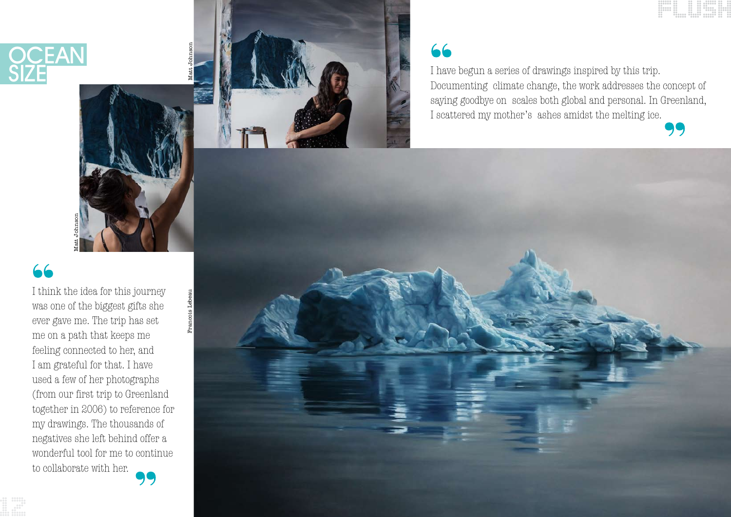

I have begun a series of drawings inspired by this trip. Documenting climate change, the work addresses the concept of saying goodbye on scales both global and personal. In Greenland, I scattered my mother's ashes amidst the melting ice.

### 66

Matt Johnson



Francois Lebeau



## 66

I think the idea for this journey was one of the biggest gifts she ever gave me. The trip has set me on a path that keeps me feeling connected to her, and I am grateful for that. I have used a few of her photographs (from our first trip to Greenland together in 2006) to reference for my drawings. The thousands of negatives she left behind offer a wonderful tool for me to continue to collaborate with her.



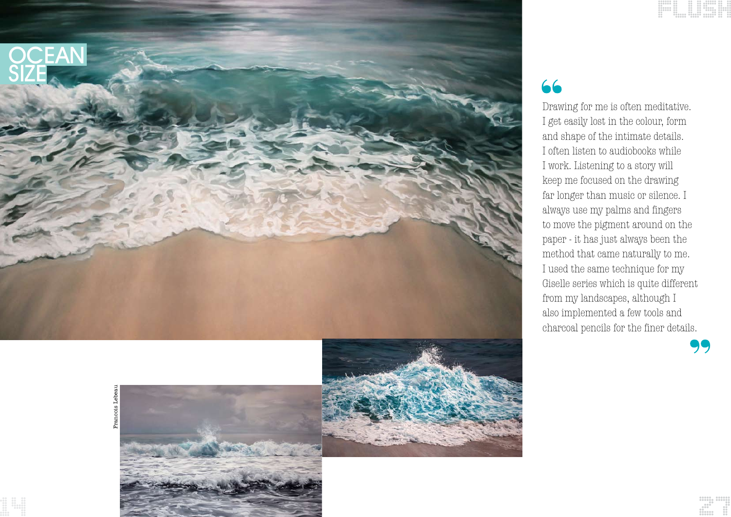#### 66 Drawing for me is often meditative.



I get easily lost in the colour, form and shape of the intimate details. I often listen to audiobooks while I work. Listening to a story will keep me focused on the drawing far longer than music or silence. I always use my palms and fingers to move the pigment around on the paper - it has just always been the method that came naturally to me. I used the same technique for my Giselle series which is quite different from my landscapes, although I also implemented a few tools and charcoal pencils for the finer details.